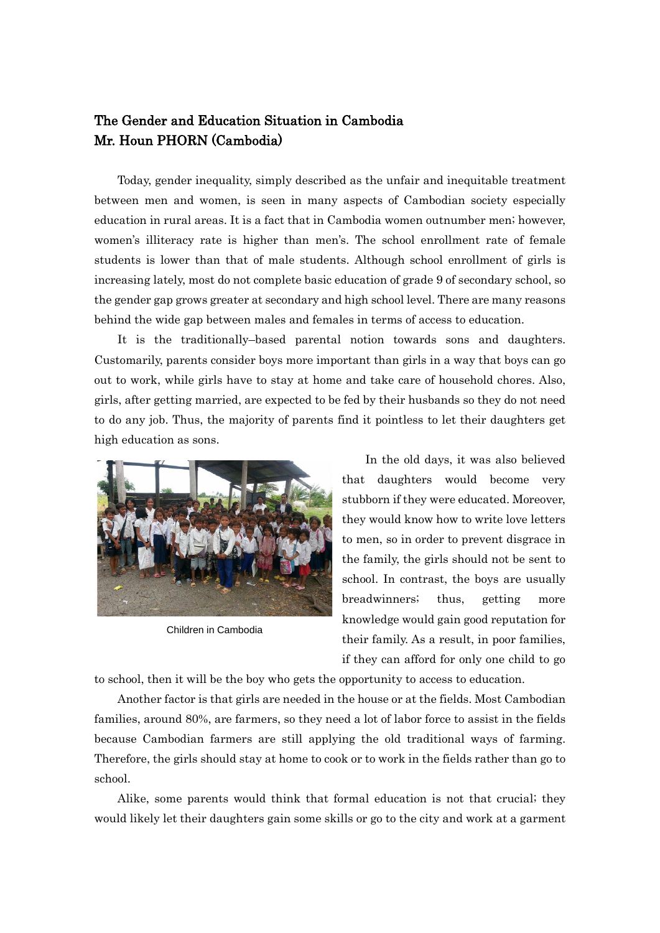## The Gender and Education Situation in Cambodia Mr. Houn PHORN (Cambodia)

Today, gender inequality, simply described as the unfair and inequitable treatment between men and women, is seen in many aspects of Cambodian society especially education in rural areas. It is a fact that in Cambodia women outnumber men; however, women's illiteracy rate is higher than men's. The school enrollment rate of female students is lower than that of male students. Although school enrollment of girls is increasing lately, most do not complete basic education of grade 9 of secondary school, so the gender gap grows greater at secondary and high school level. There are many reasons behind the wide gap between males and females in terms of access to education.

It is the traditionally–based parental notion towards sons and daughters. Customarily, parents consider boys more important than girls in a way that boys can go out to work, while girls have to stay at home and take care of household chores. Also, girls, after getting married, are expected to be fed by their husbands so they do not need to do any job. Thus, the majority of parents find it pointless to let their daughters get high education as sons.



Children in Cambodia

In the old days, it was also believed that daughters would become very stubborn if they were educated. Moreover, they would know how to write love letters to men, so in order to prevent disgrace in the family, the girls should not be sent to school. In contrast, the boys are usually breadwinners; thus, getting more knowledge would gain good reputation for their family. As a result, in poor families, if they can afford for only one child to go

to school, then it will be the boy who gets the opportunity to access to education.

Another factor is that girls are needed in the house or at the fields. Most Cambodian families, around 80%, are farmers, so they need a lot of labor force to assist in the fields because Cambodian farmers are still applying the old traditional ways of farming. Therefore, the girls should stay at home to cook or to work in the fields rather than go to school.

Alike, some parents would think that formal education is not that crucial; they would likely let their daughters gain some skills or go to the city and work at a garment